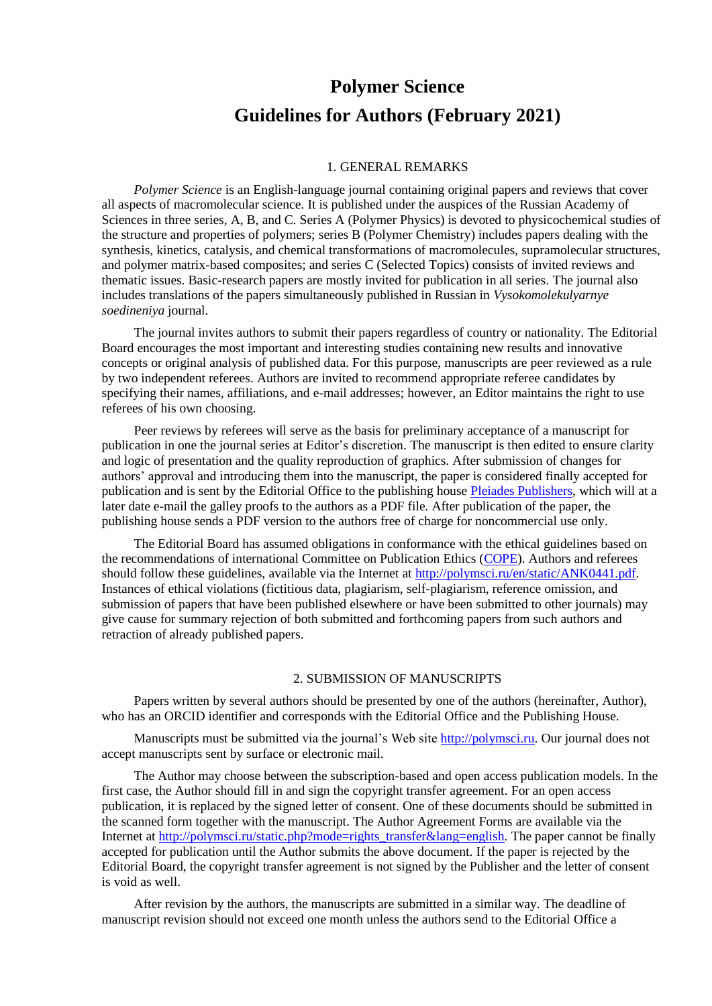# **Polymer Science Guidelines for Authors (February 2021)**

#### 1. GENERAL REMARKS

*Polymer Science* is an English-language journal containing original papers and reviews that cover all aspects of macromolecular science. It is published under the auspices of the Russian Academy of Sciences in three series, A, B, and C. Series A (Polymer Physics) is devoted to physicochemical studies of the structure and properties of polymers; series B (Polymer Chemistry) includes papers dealing with the synthesis, kinetics, catalysis, and chemical transformations of macromolecules, supramolecular structures, and polymer matrix-based composites; and series C (Selected Topics) consists of invited reviews and thematic issues. Basic-research papers are mostly invited for publication in all series. The journal also includes translations of the papers simultaneously published in Russian in *Vysokomolekulyarnye soedineniya* journal.

The journal invites authors to submit their papers regardless of country or nationality. The Editorial Board encourages the most important and interesting studies containing new results and innovative concepts or original analysis of published data. For this purpose, manuscripts are peer reviewed as a rule by two independent referees. Authors are invited to recommend appropriate referee candidates by specifying their names, affiliations, and e-mail addresses; however, an Editor maintains the right to use referees of his own choosing.

Peer reviews by referees will serve as the basis for preliminary acceptance of a manuscript for publication in one the journal series at Editor's discretion. The manuscript is then edited to ensure clarity and logic of presentation and the quality reproduction of graphics. After submission of changes for authors' approval and introducing them into the manuscript, the paper is considered finally accepted for publication and is sent by the Editorial Office to the publishing house [Pleiades Publishers,](http://pleiades.online/en) which will at a later date e-mail the galley proofs to the authors as a PDF file. After publication of the paper, the publishing house sends a PDF version to the authors free of charge for noncommercial use only.

The Editorial Board has assumed obligations in conformance with the ethical guidelines based on the recommendations of international Committee on Publication Ethics [\(COPE\)](http://publicationethics.org/). Authors and referees should follow these guidelines, available via the Internet at [http://polymsci.ru/en/static/ANK0441.pdf.](http://polymsci.ru/en/static/ANK0441.pdf) Instances of ethical violations (fictitious data, plagiarism, self-plagiarism, reference omission, and submission of papers that have been published elsewhere or have been submitted to other journals) may give cause for summary rejection of both submitted and forthcoming papers from such authors and retraction of already published papers.

#### 2. SUBMISSION OF MANUSCRIPTS

Papers written by several authors should be presented by one of the authors (hereinafter, Author), who has an ORCID identifier and corresponds with the Editorial Office and the Publishing House.

Manuscripts must be submitted via the journal's Web site [http://polymsci.ru.](http://polymsci.ru/) Our journal does not accept manuscripts sent by surface or electronic mail.

The Author may choose between the subscription-based and open access publication models. In the first case, the Author should fill in and sign the copyright transfer agreement. For an open access publication, it is replaced by the signed letter of consent. One of these documents should be submitted in the scanned form together with the manuscript. The Author Agreement Forms are available via the Internet a[t http://polymsci.ru/static.php?mode=rights\\_transfer&lang=english](http://polymsci.ru/static.php?mode=rights_transfer&lang=english). The paper cannot be finally accepted for publication until the Author submits the above document. If the paper is rejected by the Editorial Board, the copyright transfer agreement is not signed by the Publisher and the letter of consent is void as well.

After revision by the authors, the manuscripts are submitted in a similar way. The deadline of manuscript revision should not exceed one month unless the authors send to the Editorial Office a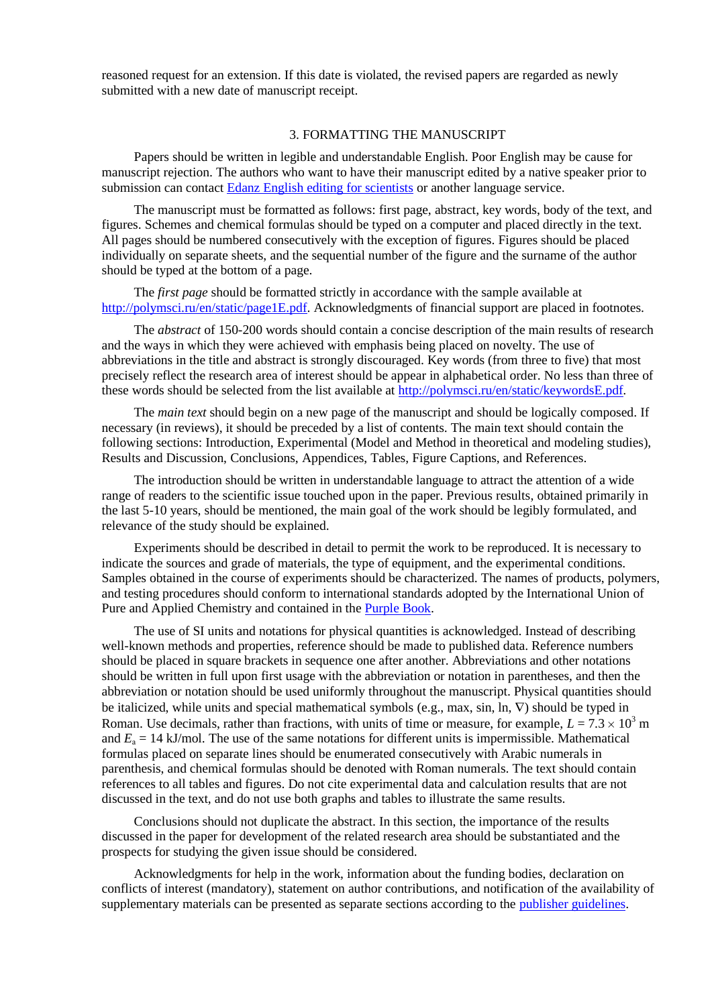reasoned request for an extension. If this date is violated, the revised papers are regarded as newly submitted with a new date of manuscript receipt.

## 3. FORMATTING THE MANUSCRIPT

Papers should be written in legible and understandable English. Poor English may be cause for manuscript rejection. The authors who want to have their manuscript edited by a native speaker prior to submission can contact [Edanz English editing for scientists](http://www.edanzediting.com/) or another language service.

The manuscript must be formatted as follows: first page, abstract, key words, body of the text, and figures. Schemes and chemical formulas should be typed on a computer and placed directly in the text. All pages should be numbered consecutively with the exception of figures. Figures should be placed individually on separate sheets, and the sequential number of the figure and the surname of the author should be typed at the bottom of a page.

The *first page* should be formatted strictly in accordance with the sample available at [http://polymsci.ru/en/static/page1E.pdf.](http://polymsci.ru/en/static/page1E.pdf) Acknowledgments of financial support are placed in footnotes.

The *abstract* of 150-200 words should contain a concise description of the main results of research and the ways in which they were achieved with emphasis being placed on novelty. The use of abbreviations in the title and abstract is strongly discouraged. Key words (from three to five) that most precisely reflect the research area of interest should be appear in alphabetical order. No less than three of these words should be selected from the list available at<http://polymsci.ru/en/static/keywordsE.pdf>*.*

The *main text* should begin on a new page of the manuscript and should be logically composed. If necessary (in reviews), it should be preceded by a list of contents. The main text should contain the following sections: Introduction, Experimental (Model and Method in theoretical and modeling studies), Results and Discussion, Conclusions, Appendices, Tables, Figure Captions, and References.

The introduction should be written in understandable language to attract the attention of a wide range of readers to the scientific issue touched upon in the paper. Previous results, obtained primarily in the last 5-10 years, should be mentioned, the main goal of the work should be legibly formulated, and relevance of the study should be explained.

Experiments should be described in detail to permit the work to be reproduced. It is necessary to indicate the sources and grade of materials, the type of equipment, and the experimental conditions. Samples obtained in the course of experiments should be characterized. The names of products, polymers, and testing procedures should conform to international standards adopted by the International Union of Pure and Applied Chemistry and contained in the [Purple Book.](http://www.iupac.org/wp-content/uploads/2016/07/ONLINE-IUPAC-PB2-Online-June2014.pdf)

The use of SI units and notations for physical quantities is acknowledged. Instead of describing well-known methods and properties, reference should be made to published data. Reference numbers should be placed in square brackets in sequence one after another. Abbreviations and other notations should be written in full upon first usage with the abbreviation or notation in parentheses, and then the abbreviation or notation should be used uniformly throughout the manuscript. Physical quantities should be italicized, while units and special mathematical symbols (e.g., max, sin, ln,  $\nabla$ ) should be typed in Roman. Use decimals, rather than fractions, with units of time or measure, for example,  $L = 7.3 \times 10^3$  m and  $E_a = 14$  kJ/mol. The use of the same notations for different units is impermissible. Mathematical formulas placed on separate lines should be enumerated consecutively with Arabic numerals in parenthesis, and chemical formulas should be denoted with Roman numerals. The text should contain references to all tables and figures. Do not cite experimental data and calculation results that are not discussed in the text, and do not use both graphs and tables to illustrate the same results.

Conclusions should not duplicate the abstract. In this section, the importance of the results discussed in the paper for development of the related research area should be substantiated and the prospects for studying the given issue should be considered.

Acknowledgments for help in the work, information about the funding bodies, declaration on conflicts of interest (mandatory), statement on author contributions, and notification of the availability of supplementary materials can be presented as separate sections according to the [publisher guidelines.](http://pleiades.online/en/authors/guidlines/reference-information/)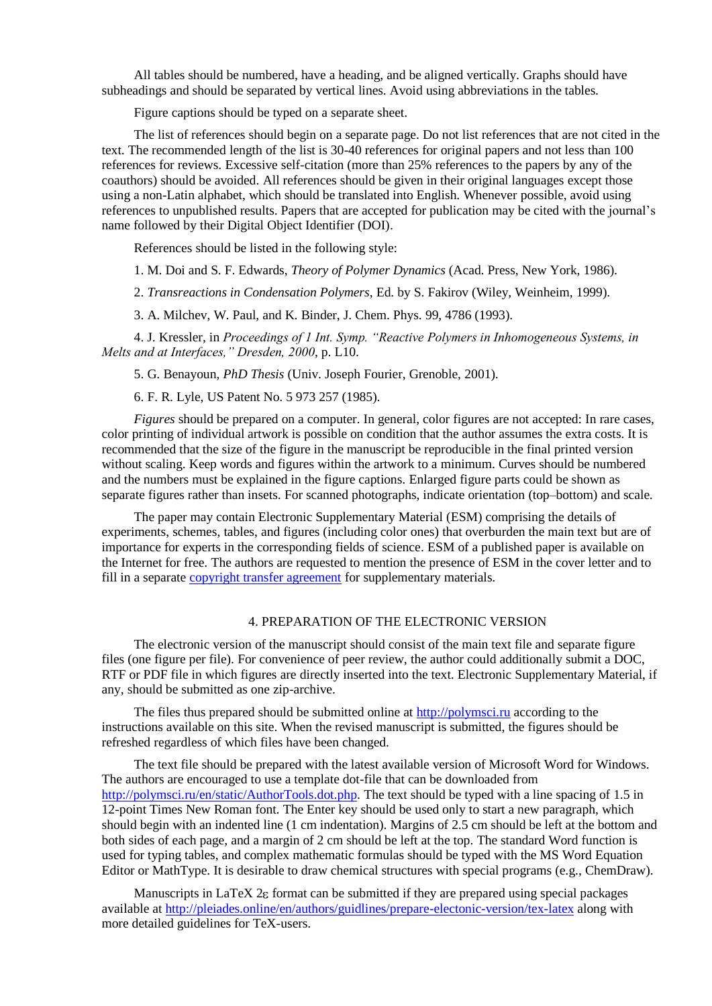All tables should be numbered, have a heading, and be aligned vertically. Graphs should have subheadings and should be separated by vertical lines. Avoid using abbreviations in the tables.

Figure captions should be typed on a separate sheet.

The list of references should begin on a separate page. Do not list references that are not cited in the text. The recommended length of the list is 30-40 references for original papers and not less than 100 references for reviews. Excessive self-citation (more than 25% references to the papers by any of the coauthors) should be avoided. All references should be given in their original languages except those using a non-Latin alphabet, which should be translated into English. Whenever possible, avoid using references to unpublished results. Papers that are accepted for publication may be cited with the journal's name followed by their Digital Object Identifier (DOI).

References should be listed in the following style:

1. M. Doi and S. F. Edwards, *Theory of Polymer Dynamics* (Acad. Press, New York, 1986).

2. *Transreactions in Condensation Polymers*, Ed. by S. Fakirov (Wiley, Weinheim, 1999).

3. A. Milchev, W. Paul, and K. Binder, J. Chem. Phys. 99, 4786 (1993).

4. J. Kressler*,* in *Proceedings of 1 Int. Symp. "Reactive Polymers in Inhomogeneous Systems, in Melts and at Interfaces," Dresden, 2000*, p. L10.

5. G. Benayoun, *PhD Thesis* (Univ. Joseph Fourier, Grenoble, 2001).

6. F. R. Lyle, US Patent No. 5 973 257 (1985).

*Figures* should be prepared on a computer. In general, color figures are not accepted: In rare cases, color printing of individual artwork is possible on condition that the author assumes the extra costs. It is recommended that the size of the figure in the manuscript be reproducible in the final printed version without scaling. Keep words and figures within the artwork to a minimum. Curves should be numbered and the numbers must be explained in the figure captions. Enlarged figure parts could be shown as separate figures rather than insets. For scanned photographs, indicate orientation (top–bottom) and scale.

The paper may contain Electronic Supplementary Material (ESM) comprising the details of experiments, schemes, tables, and figures (including color ones) that overburden the main text but are of importance for experts in the corresponding fields of science. ESM of a published paper is available on the Internet for free. The authors are requested to mention the presence of ESM in the cover letter and to fill in a separate [copyright transfer agreement](http://pleiades.online/en/authors/guidlines/prepare-electonic-version/supplementary-materials/) for supplementary materials.

## 4. PREPARATION OF THE ELECTRONIC VERSION

The electronic version of the manuscript should consist of the main text file and separate figure files (one figure per file). For convenience of peer review, the author could additionally submit a DOC, RTF or PDF file in which figures are directly inserted into the text. Electronic Supplementary Material, if any, should be submitted as one zip-archive.

The files thus prepared should be submitted online at [http://polymsci.ru](http://polymsci.ru/) according to the instructions available on this site. When the revised manuscript is submitted, the figures should be refreshed regardless of which files have been changed.

The text file should be prepared with the latest available version of Microsoft Word for Windows. The authors are encouraged to use a template dot-file that can be downloaded from [http://polymsci.ru/en/static/AuthorTools.dot.php.](http://polymsci.ru/en/static/AuthorTools.dot.php) The text should be typed with a line spacing of 1.5 in 12-point Times New Roman font. The Enter key should be used only to start a new paragraph, which should begin with an indented line (1 cm indentation). Margins of 2.5 cm should be left at the bottom and both sides of each page, and a margin of 2 cm should be left at the top. The standard Word function is used for typing tables, and complex mathematic formulas should be typed with the MS Word Equation Editor or MathType. It is desirable to draw chemical structures with special programs (e.g., ChemDraw).

Manuscripts in LaTeX 2 $\epsilon$  format can be submitted if they are prepared using special packages available at<http://pleiades.online/en/authors/guidlines/prepare-electonic-version/tex-latex> along with more detailed guidelines for TeX-users.